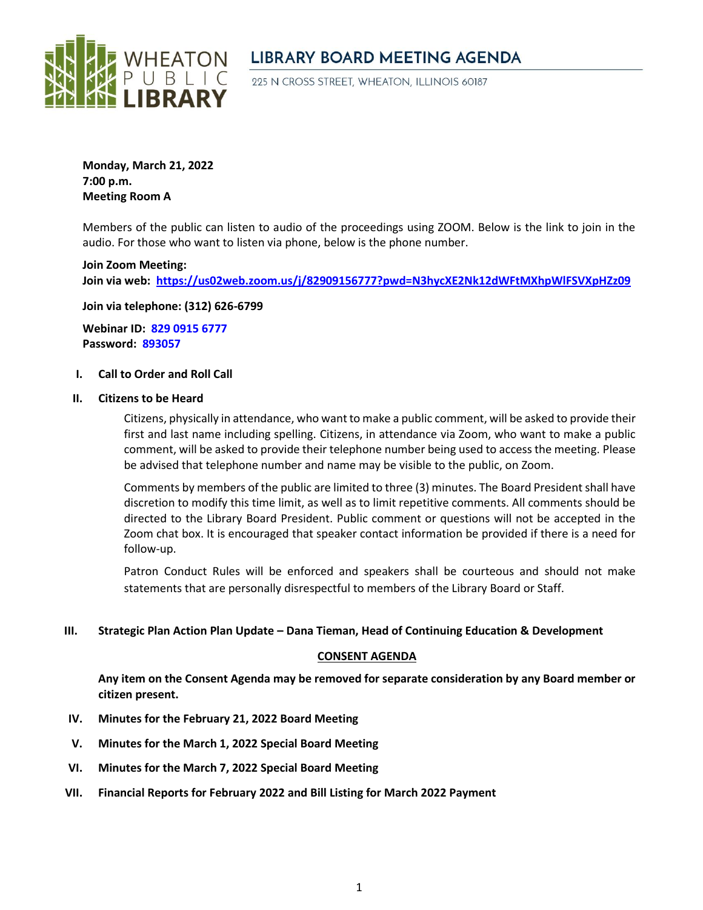

# **LIBRARY BOARD MEETING AGENDA**

225 N CROSS STREET, WHEATON, ILLINOIS 60187

**Monday, March 21, 2022 7:00 p.m. Meeting Room A**

Members of the public can listen to audio of the proceedings using ZOOM. Below is the link to join in the audio. For those who want to listen via phone, below is the phone number.

**Join Zoom Meeting: Join via web: <https://us02web.zoom.us/j/82909156777?pwd=N3hycXE2Nk12dWFtMXhpWlFSVXpHZz09>**

**Join via telephone: (312) 626-6799**

**Webinar ID: 829 0915 6777 Password: 893057**

### **I. Call to Order and Roll Call**

#### **II. Citizens to be Heard**

Citizens, physically in attendance, who want to make a public comment, will be asked to provide their first and last name including spelling. Citizens, in attendance via Zoom, who want to make a public comment, will be asked to provide their telephone number being used to access the meeting. Please be advised that telephone number and name may be visible to the public, on Zoom.

Comments by members of the public are limited to three (3) minutes. The Board President shall have discretion to modify this time limit, as well as to limit repetitive comments. All comments should be directed to the Library Board President. Public comment or questions will not be accepted in the Zoom chat box. It is encouraged that speaker contact information be provided if there is a need for follow-up.

Patron Conduct Rules will be enforced and speakers shall be courteous and should not make statements that are personally disrespectful to members of the Library Board or Staff.

### **III. Strategic Plan Action Plan Update – Dana Tieman, Head of Continuing Education & Development**

### **CONSENT AGENDA**

**Any item on the Consent Agenda may be removed for separate consideration by any Board member or citizen present.**

- **IV. Minutes for the February 21, 2022 Board Meeting**
- **V. Minutes for the March 1, 2022 Special Board Meeting**
- **VI. Minutes for the March 7, 2022 Special Board Meeting**
- **VII. Financial Reports for February 2022 and Bill Listing for March 2022 Payment**